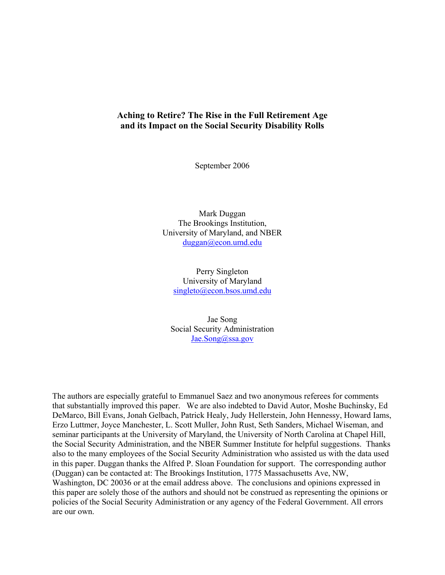# **Aching to Retire? The Rise in the Full Retirement Age and its Impact on the Social Security Disability Rolls**

September 2006

Mark Duggan The Brookings Institution, University of Maryland, and NBER duggan@econ.umd.edu

Perry Singleton University of Maryland singleto@econ.bsos.umd.edu

Jae Song Social Security Administration Jae.Song@ssa.gov

The authors are especially grateful to Emmanuel Saez and two anonymous referees for comments that substantially improved this paper. We are also indebted to David Autor, Moshe Buchinsky, Ed DeMarco, Bill Evans, Jonah Gelbach, Patrick Healy, Judy Hellerstein, John Hennessy, Howard Iams, Erzo Luttmer, Joyce Manchester, L. Scott Muller, John Rust, Seth Sanders, Michael Wiseman, and seminar participants at the University of Maryland, the University of North Carolina at Chapel Hill, the Social Security Administration, and the NBER Summer Institute for helpful suggestions. Thanks also to the many employees of the Social Security Administration who assisted us with the data used in this paper. Duggan thanks the Alfred P. Sloan Foundation for support. The corresponding author (Duggan) can be contacted at: The Brookings Institution, 1775 Massachusetts Ave, NW, Washington, DC 20036 or at the email address above. The conclusions and opinions expressed in this paper are solely those of the authors and should not be construed as representing the opinions or policies of the Social Security Administration or any agency of the Federal Government. All errors are our own.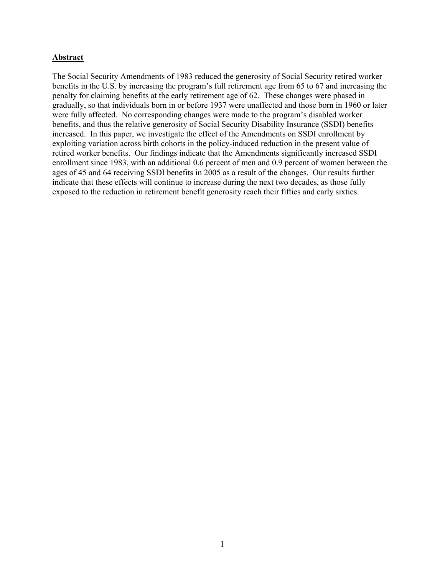## **Abstract**

The Social Security Amendments of 1983 reduced the generosity of Social Security retired worker benefits in the U.S. by increasing the program's full retirement age from 65 to 67 and increasing the penalty for claiming benefits at the early retirement age of 62. These changes were phased in gradually, so that individuals born in or before 1937 were unaffected and those born in 1960 or later were fully affected. No corresponding changes were made to the program's disabled worker benefits, and thus the relative generosity of Social Security Disability Insurance (SSDI) benefits increased. In this paper, we investigate the effect of the Amendments on SSDI enrollment by exploiting variation across birth cohorts in the policy-induced reduction in the present value of retired worker benefits. Our findings indicate that the Amendments significantly increased SSDI enrollment since 1983, with an additional 0.6 percent of men and 0.9 percent of women between the ages of 45 and 64 receiving SSDI benefits in 2005 as a result of the changes. Our results further indicate that these effects will continue to increase during the next two decades, as those fully exposed to the reduction in retirement benefit generosity reach their fifties and early sixties.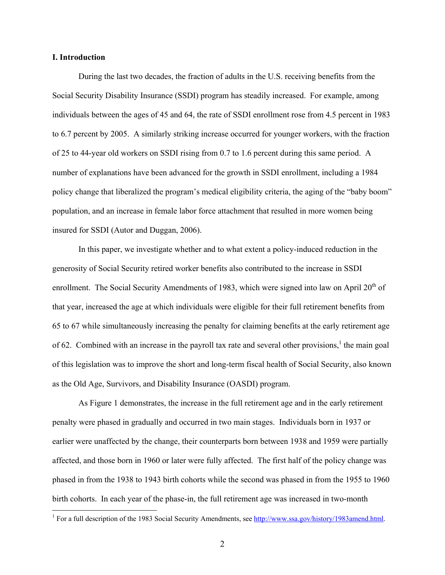## **I. Introduction**

 $\overline{a}$ 

During the last two decades, the fraction of adults in the U.S. receiving benefits from the Social Security Disability Insurance (SSDI) program has steadily increased. For example, among individuals between the ages of 45 and 64, the rate of SSDI enrollment rose from 4.5 percent in 1983 to 6.7 percent by 2005. A similarly striking increase occurred for younger workers, with the fraction of 25 to 44-year old workers on SSDI rising from 0.7 to 1.6 percent during this same period. A number of explanations have been advanced for the growth in SSDI enrollment, including a 1984 policy change that liberalized the program's medical eligibility criteria, the aging of the "baby boom" population, and an increase in female labor force attachment that resulted in more women being insured for SSDI (Autor and Duggan, 2006).

In this paper, we investigate whether and to what extent a policy-induced reduction in the generosity of Social Security retired worker benefits also contributed to the increase in SSDI enrollment. The Social Security Amendments of 1983, which were signed into law on April 20<sup>th</sup> of that year, increased the age at which individuals were eligible for their full retirement benefits from 65 to 67 while simultaneously increasing the penalty for claiming benefits at the early retirement age of 62. Combined with an increase in the payroll tax rate and several other provisions,<sup>1</sup> the main goal of this legislation was to improve the short and long-term fiscal health of Social Security, also known as the Old Age, Survivors, and Disability Insurance (OASDI) program.

As Figure 1 demonstrates, the increase in the full retirement age and in the early retirement penalty were phased in gradually and occurred in two main stages. Individuals born in 1937 or earlier were unaffected by the change, their counterparts born between 1938 and 1959 were partially affected, and those born in 1960 or later were fully affected. The first half of the policy change was phased in from the 1938 to 1943 birth cohorts while the second was phased in from the 1955 to 1960 birth cohorts. In each year of the phase-in, the full retirement age was increased in two-month

<sup>&</sup>lt;sup>1</sup> For a full description of the 1983 Social Security Amendments, see  $\frac{http://www.ssa.gov/history/1983amend.html.$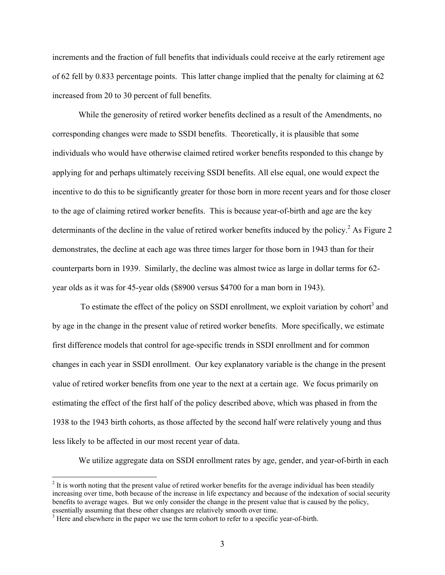increments and the fraction of full benefits that individuals could receive at the early retirement age of 62 fell by 0.833 percentage points. This latter change implied that the penalty for claiming at 62 increased from 20 to 30 percent of full benefits.

While the generosity of retired worker benefits declined as a result of the Amendments, no corresponding changes were made to SSDI benefits. Theoretically, it is plausible that some individuals who would have otherwise claimed retired worker benefits responded to this change by applying for and perhaps ultimately receiving SSDI benefits. All else equal, one would expect the incentive to do this to be significantly greater for those born in more recent years and for those closer to the age of claiming retired worker benefits. This is because year-of-birth and age are the key determinants of the decline in the value of retired worker benefits induced by the policy.<sup>2</sup> As Figure 2 demonstrates, the decline at each age was three times larger for those born in 1943 than for their counterparts born in 1939. Similarly, the decline was almost twice as large in dollar terms for 62 year olds as it was for 45-year olds (\$8900 versus \$4700 for a man born in 1943).

To estimate the effect of the policy on SSDI enrollment, we exploit variation by cohort<sup>3</sup> and by age in the change in the present value of retired worker benefits. More specifically, we estimate first difference models that control for age-specific trends in SSDI enrollment and for common changes in each year in SSDI enrollment. Our key explanatory variable is the change in the present value of retired worker benefits from one year to the next at a certain age. We focus primarily on estimating the effect of the first half of the policy described above, which was phased in from the 1938 to the 1943 birth cohorts, as those affected by the second half were relatively young and thus less likely to be affected in our most recent year of data.

We utilize aggregate data on SSDI enrollment rates by age, gender, and year-of-birth in each

 $2<sup>2</sup>$  It is worth noting that the present value of retired worker benefits for the average individual has been steadily increasing over time, both because of the increase in life expectancy and because of the indexation of social security benefits to average wages. But we only consider the change in the present value that is caused by the policy, essentially assuming that these other changes are relatively smooth over time.

<sup>&</sup>lt;sup>3</sup> Here and elsewhere in the paper we use the term cohort to refer to a specific year-of-birth.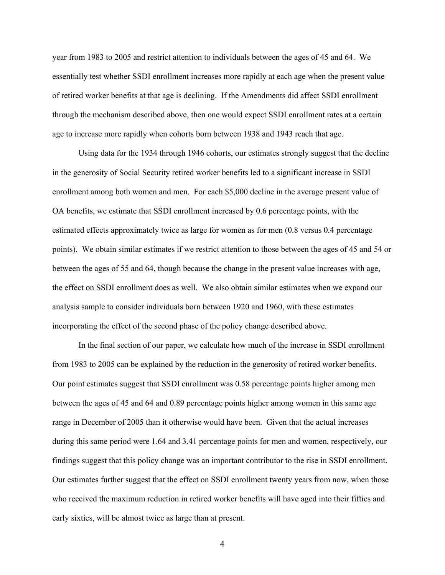year from 1983 to 2005 and restrict attention to individuals between the ages of 45 and 64. We essentially test whether SSDI enrollment increases more rapidly at each age when the present value of retired worker benefits at that age is declining. If the Amendments did affect SSDI enrollment through the mechanism described above, then one would expect SSDI enrollment rates at a certain age to increase more rapidly when cohorts born between 1938 and 1943 reach that age.

 Using data for the 1934 through 1946 cohorts, our estimates strongly suggest that the decline in the generosity of Social Security retired worker benefits led to a significant increase in SSDI enrollment among both women and men. For each \$5,000 decline in the average present value of OA benefits, we estimate that SSDI enrollment increased by 0.6 percentage points, with the estimated effects approximately twice as large for women as for men (0.8 versus 0.4 percentage points). We obtain similar estimates if we restrict attention to those between the ages of 45 and 54 or between the ages of 55 and 64, though because the change in the present value increases with age, the effect on SSDI enrollment does as well. We also obtain similar estimates when we expand our analysis sample to consider individuals born between 1920 and 1960, with these estimates incorporating the effect of the second phase of the policy change described above.

 In the final section of our paper, we calculate how much of the increase in SSDI enrollment from 1983 to 2005 can be explained by the reduction in the generosity of retired worker benefits. Our point estimates suggest that SSDI enrollment was 0.58 percentage points higher among men between the ages of 45 and 64 and 0.89 percentage points higher among women in this same age range in December of 2005 than it otherwise would have been. Given that the actual increases during this same period were 1.64 and 3.41 percentage points for men and women, respectively, our findings suggest that this policy change was an important contributor to the rise in SSDI enrollment. Our estimates further suggest that the effect on SSDI enrollment twenty years from now, when those who received the maximum reduction in retired worker benefits will have aged into their fifties and early sixties, will be almost twice as large than at present.

4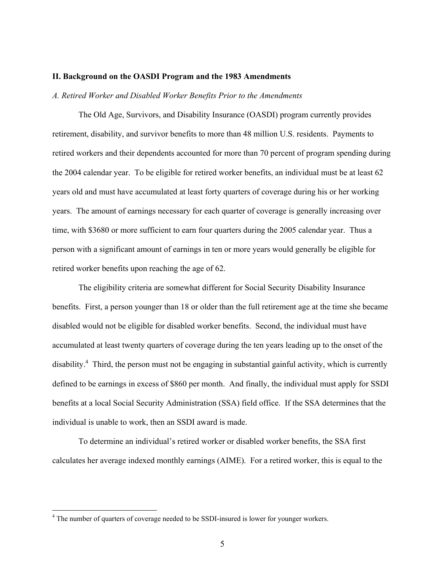#### **II. Background on the OASDI Program and the 1983 Amendments**

#### *A. Retired Worker and Disabled Worker Benefits Prior to the Amendments*

The Old Age, Survivors, and Disability Insurance (OASDI) program currently provides retirement, disability, and survivor benefits to more than 48 million U.S. residents. Payments to retired workers and their dependents accounted for more than 70 percent of program spending during the 2004 calendar year. To be eligible for retired worker benefits, an individual must be at least 62 years old and must have accumulated at least forty quarters of coverage during his or her working years. The amount of earnings necessary for each quarter of coverage is generally increasing over time, with \$3680 or more sufficient to earn four quarters during the 2005 calendar year. Thus a person with a significant amount of earnings in ten or more years would generally be eligible for retired worker benefits upon reaching the age of 62.

The eligibility criteria are somewhat different for Social Security Disability Insurance benefits. First, a person younger than 18 or older than the full retirement age at the time she became disabled would not be eligible for disabled worker benefits. Second, the individual must have accumulated at least twenty quarters of coverage during the ten years leading up to the onset of the disability.<sup>4</sup> Third, the person must not be engaging in substantial gainful activity, which is currently defined to be earnings in excess of \$860 per month. And finally, the individual must apply for SSDI benefits at a local Social Security Administration (SSA) field office. If the SSA determines that the individual is unable to work, then an SSDI award is made.

To determine an individual's retired worker or disabled worker benefits, the SSA first calculates her average indexed monthly earnings (AIME). For a retired worker, this is equal to the

 $4$  The number of quarters of coverage needed to be SSDI-insured is lower for younger workers.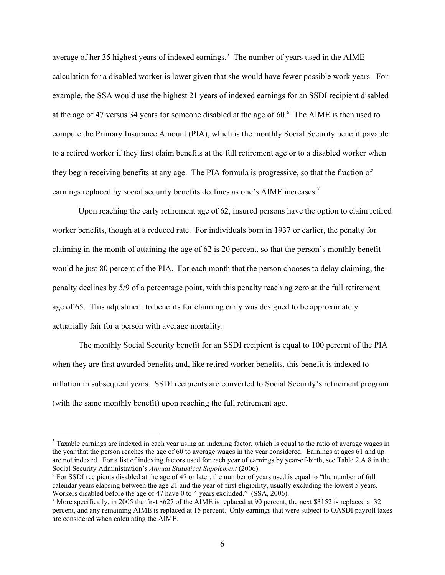average of her 35 highest years of indexed earnings.<sup>5</sup> The number of years used in the AIME calculation for a disabled worker is lower given that she would have fewer possible work years. For example, the SSA would use the highest 21 years of indexed earnings for an SSDI recipient disabled at the age of 47 versus 34 years for someone disabled at the age of  $60<sup>6</sup>$ . The AIME is then used to compute the Primary Insurance Amount (PIA), which is the monthly Social Security benefit payable to a retired worker if they first claim benefits at the full retirement age or to a disabled worker when they begin receiving benefits at any age. The PIA formula is progressive, so that the fraction of earnings replaced by social security benefits declines as one's AIME increases.<sup>7</sup>

Upon reaching the early retirement age of 62, insured persons have the option to claim retired worker benefits, though at a reduced rate. For individuals born in 1937 or earlier, the penalty for claiming in the month of attaining the age of 62 is 20 percent, so that the person's monthly benefit would be just 80 percent of the PIA. For each month that the person chooses to delay claiming, the penalty declines by 5/9 of a percentage point, with this penalty reaching zero at the full retirement age of 65. This adjustment to benefits for claiming early was designed to be approximately actuarially fair for a person with average mortality.

The monthly Social Security benefit for an SSDI recipient is equal to 100 percent of the PIA when they are first awarded benefits and, like retired worker benefits, this benefit is indexed to inflation in subsequent years. SSDI recipients are converted to Social Security's retirement program (with the same monthly benefit) upon reaching the full retirement age.

 $<sup>5</sup>$  Taxable earnings are indexed in each year using an indexing factor, which is equal to the ratio of average wages in</sup> the year that the person reaches the age of 60 to average wages in the year considered. Earnings at ages 61 and up are not indexed. For a list of indexing factors used for each year of earnings by year-of-birth, see Table 2.A.8 in the Social Security Administration's *Annual Statistical Supplement* (2006).

 $6$  For SSDI recipients disabled at the age of 47 or later, the number of years used is equal to "the number of full calendar years elapsing between the age 21 and the year of first eligibility, usually excluding the lowest 5 years. Workers disabled before the age of 47 have 0 to 4 years excluded." (SSA, 2006).

<sup>&</sup>lt;sup>7</sup> More specifically, in 2005 the first \$627 of the AIME is replaced at 90 percent, the next \$3152 is replaced at 32 percent, and any remaining AIME is replaced at 15 percent. Only earnings that were subject to OASDI payroll taxes are considered when calculating the AIME.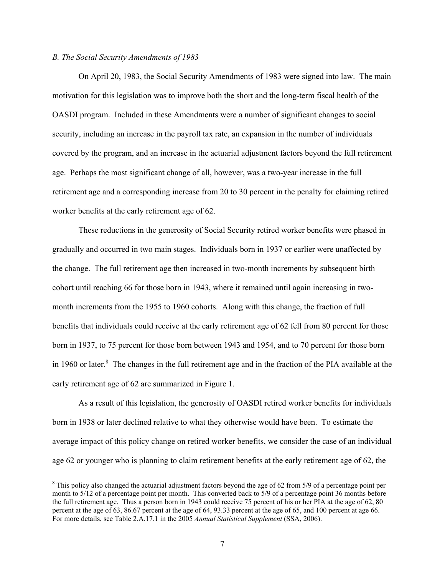## *B. The Social Security Amendments of 1983*

 $\overline{a}$ 

On April 20, 1983, the Social Security Amendments of 1983 were signed into law. The main motivation for this legislation was to improve both the short and the long-term fiscal health of the OASDI program. Included in these Amendments were a number of significant changes to social security, including an increase in the payroll tax rate, an expansion in the number of individuals covered by the program, and an increase in the actuarial adjustment factors beyond the full retirement age. Perhaps the most significant change of all, however, was a two-year increase in the full retirement age and a corresponding increase from 20 to 30 percent in the penalty for claiming retired worker benefits at the early retirement age of 62.

These reductions in the generosity of Social Security retired worker benefits were phased in gradually and occurred in two main stages. Individuals born in 1937 or earlier were unaffected by the change. The full retirement age then increased in two-month increments by subsequent birth cohort until reaching 66 for those born in 1943, where it remained until again increasing in twomonth increments from the 1955 to 1960 cohorts. Along with this change, the fraction of full benefits that individuals could receive at the early retirement age of 62 fell from 80 percent for those born in 1937, to 75 percent for those born between 1943 and 1954, and to 70 percent for those born in 1960 or later.<sup>8</sup> The changes in the full retirement age and in the fraction of the PIA available at the early retirement age of 62 are summarized in Figure 1.

 As a result of this legislation, the generosity of OASDI retired worker benefits for individuals born in 1938 or later declined relative to what they otherwise would have been. To estimate the average impact of this policy change on retired worker benefits, we consider the case of an individual age 62 or younger who is planning to claim retirement benefits at the early retirement age of 62, the

 $8$  This policy also changed the actuarial adjustment factors beyond the age of 62 from 5/9 of a percentage point per month to 5/12 of a percentage point per month. This converted back to 5/9 of a percentage point 36 months before the full retirement age. Thus a person born in 1943 could receive 75 percent of his or her PIA at the age of 62, 80 percent at the age of 63, 86.67 percent at the age of 64, 93.33 percent at the age of 65, and 100 percent at age 66. For more details, see Table 2.A.17.1 in the 2005 *Annual Statistical Supplement* (SSA, 2006).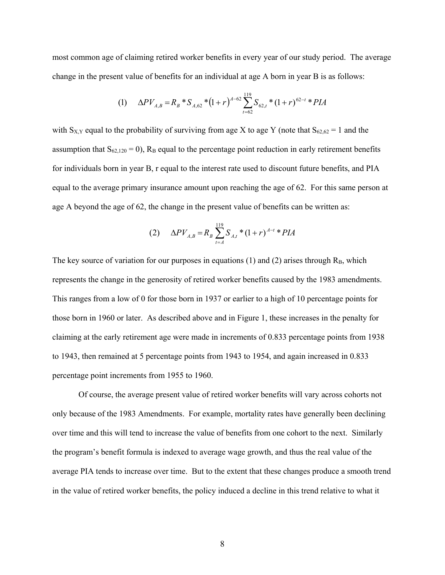most common age of claiming retired worker benefits in every year of our study period. The average change in the present value of benefits for an individual at age A born in year B is as follows:

(1) 
$$
\Delta P V_{A,B} = R_B * S_{A,62} * (1+r)^{A-62} \sum_{t=62}^{119} S_{62,t} * (1+r)^{62-t} * PIA
$$

with  $S_{X,Y}$  equal to the probability of surviving from age X to age Y (note that  $S_{62,62} = 1$  and the assumption that  $S_{62,120} = 0$ ,  $R_B$  equal to the percentage point reduction in early retirement benefits for individuals born in year B, r equal to the interest rate used to discount future benefits, and PIA equal to the average primary insurance amount upon reaching the age of 62. For this same person at age A beyond the age of 62, the change in the present value of benefits can be written as:

(2) 
$$
\Delta P V_{A,B} = R_B \sum_{t=A}^{119} S_{A,t} * (1+r)^{A-t} * PIA
$$

The key source of variation for our purposes in equations (1) and (2) arises through  $R_B$ , which represents the change in the generosity of retired worker benefits caused by the 1983 amendments. This ranges from a low of 0 for those born in 1937 or earlier to a high of 10 percentage points for those born in 1960 or later. As described above and in Figure 1, these increases in the penalty for claiming at the early retirement age were made in increments of 0.833 percentage points from 1938 to 1943, then remained at 5 percentage points from 1943 to 1954, and again increased in 0.833 percentage point increments from 1955 to 1960.

Of course, the average present value of retired worker benefits will vary across cohorts not only because of the 1983 Amendments. For example, mortality rates have generally been declining over time and this will tend to increase the value of benefits from one cohort to the next. Similarly the program's benefit formula is indexed to average wage growth, and thus the real value of the average PIA tends to increase over time. But to the extent that these changes produce a smooth trend in the value of retired worker benefits, the policy induced a decline in this trend relative to what it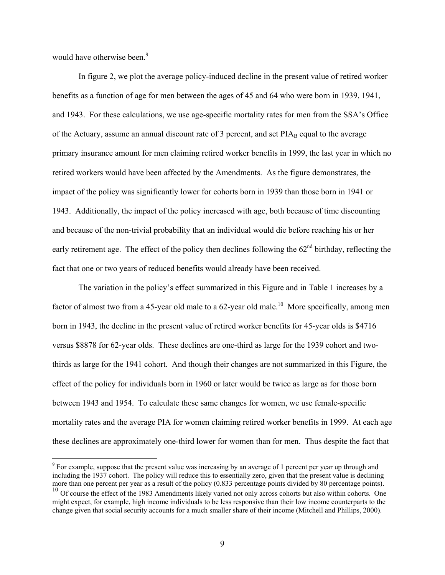would have otherwise been.<sup>9</sup>

 $\overline{a}$ 

In figure 2, we plot the average policy-induced decline in the present value of retired worker benefits as a function of age for men between the ages of 45 and 64 who were born in 1939, 1941, and 1943. For these calculations, we use age-specific mortality rates for men from the SSA's Office of the Actuary, assume an annual discount rate of 3 percent, and set PIA<sub>B</sub> equal to the average primary insurance amount for men claiming retired worker benefits in 1999, the last year in which no retired workers would have been affected by the Amendments. As the figure demonstrates, the impact of the policy was significantly lower for cohorts born in 1939 than those born in 1941 or 1943. Additionally, the impact of the policy increased with age, both because of time discounting and because of the non-trivial probability that an individual would die before reaching his or her early retirement age. The effect of the policy then declines following the  $62<sup>nd</sup>$  birthday, reflecting the fact that one or two years of reduced benefits would already have been received.

The variation in the policy's effect summarized in this Figure and in Table 1 increases by a factor of almost two from a 45-year old male to a 62-year old male.<sup>10</sup> More specifically, among men born in 1943, the decline in the present value of retired worker benefits for 45-year olds is \$4716 versus \$8878 for 62-year olds. These declines are one-third as large for the 1939 cohort and twothirds as large for the 1941 cohort. And though their changes are not summarized in this Figure, the effect of the policy for individuals born in 1960 or later would be twice as large as for those born between 1943 and 1954. To calculate these same changes for women, we use female-specific mortality rates and the average PIA for women claiming retired worker benefits in 1999. At each age these declines are approximately one-third lower for women than for men. Thus despite the fact that

 $9^9$  For example, suppose that the present value was increasing by an average of 1 percent per year up through and including the 1937 cohort. The policy will reduce this to essentially zero, given that the present value is declining more than one percent per year as a result of the policy (0.833 percentage points divided by 80 percentage points).

 $10$  Of course the effect of the 1983 Amendments likely varied not only across cohorts but also within cohorts. One might expect, for example, high income individuals to be less responsive than their low income counterparts to the change given that social security accounts for a much smaller share of their income (Mitchell and Phillips, 2000).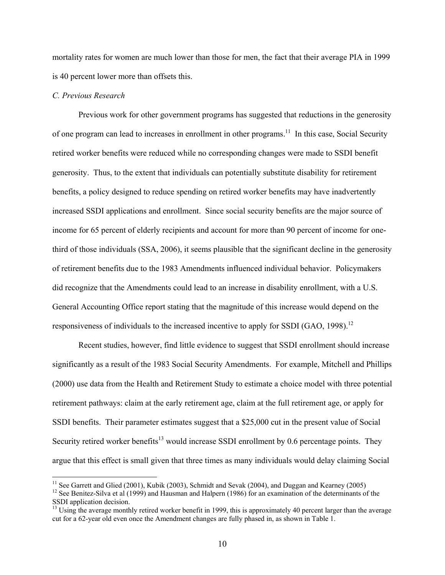mortality rates for women are much lower than those for men, the fact that their average PIA in 1999 is 40 percent lower more than offsets this.

# *C. Previous Research*

 $\overline{a}$ 

Previous work for other government programs has suggested that reductions in the generosity of one program can lead to increases in enrollment in other programs.<sup>11</sup> In this case, Social Security retired worker benefits were reduced while no corresponding changes were made to SSDI benefit generosity. Thus, to the extent that individuals can potentially substitute disability for retirement benefits, a policy designed to reduce spending on retired worker benefits may have inadvertently increased SSDI applications and enrollment. Since social security benefits are the major source of income for 65 percent of elderly recipients and account for more than 90 percent of income for onethird of those individuals (SSA, 2006), it seems plausible that the significant decline in the generosity of retirement benefits due to the 1983 Amendments influenced individual behavior. Policymakers did recognize that the Amendments could lead to an increase in disability enrollment, with a U.S. General Accounting Office report stating that the magnitude of this increase would depend on the responsiveness of individuals to the increased incentive to apply for SSDI (GAO, 1998).<sup>12</sup>

Recent studies, however, find little evidence to suggest that SSDI enrollment should increase significantly as a result of the 1983 Social Security Amendments. For example, Mitchell and Phillips (2000) use data from the Health and Retirement Study to estimate a choice model with three potential retirement pathways: claim at the early retirement age, claim at the full retirement age, or apply for SSDI benefits. Their parameter estimates suggest that a \$25,000 cut in the present value of Social Security retired worker benefits<sup>13</sup> would increase SSDI enrollment by 0.6 percentage points. They argue that this effect is small given that three times as many individuals would delay claiming Social

<sup>&</sup>lt;sup>11</sup> See Garrett and Glied (2001), Kubik (2003), Schmidt and Sevak (2004), and Duggan and Kearney (2005)

<sup>&</sup>lt;sup>12</sup> See Benitez-Silva et al (1999) and Hausman and Halpern (1986) for an examination of the determinants of the SSDI application decision.

<sup>&</sup>lt;sup>13</sup> Using the average monthly retired worker benefit in 1999, this is approximately 40 percent larger than the average cut for a 62-year old even once the Amendment changes are fully phased in, as shown in Table 1.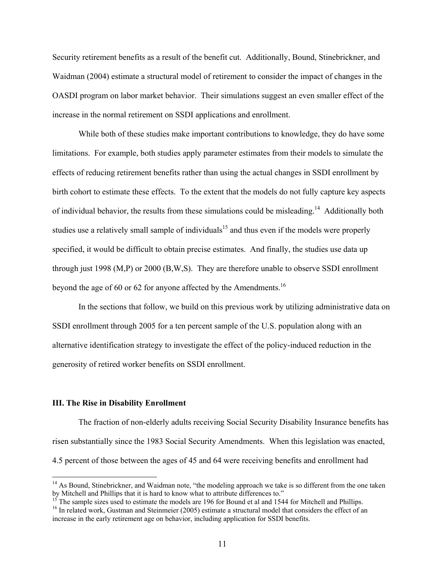Security retirement benefits as a result of the benefit cut. Additionally, Bound, Stinebrickner, and Waidman (2004) estimate a structural model of retirement to consider the impact of changes in the OASDI program on labor market behavior. Their simulations suggest an even smaller effect of the increase in the normal retirement on SSDI applications and enrollment.

While both of these studies make important contributions to knowledge, they do have some limitations. For example, both studies apply parameter estimates from their models to simulate the effects of reducing retirement benefits rather than using the actual changes in SSDI enrollment by birth cohort to estimate these effects. To the extent that the models do not fully capture key aspects of individual behavior, the results from these simulations could be misleading.14 Additionally both studies use a relatively small sample of individuals<sup>15</sup> and thus even if the models were properly specified, it would be difficult to obtain precise estimates. And finally, the studies use data up through just 1998 (M,P) or 2000 (B,W,S). They are therefore unable to observe SSDI enrollment beyond the age of 60 or 62 for anyone affected by the Amendments.<sup>16</sup>

In the sections that follow, we build on this previous work by utilizing administrative data on SSDI enrollment through 2005 for a ten percent sample of the U.S. population along with an alternative identification strategy to investigate the effect of the policy-induced reduction in the generosity of retired worker benefits on SSDI enrollment.

### **III. The Rise in Disability Enrollment**

 $\overline{a}$ 

The fraction of non-elderly adults receiving Social Security Disability Insurance benefits has risen substantially since the 1983 Social Security Amendments. When this legislation was enacted, 4.5 percent of those between the ages of 45 and 64 were receiving benefits and enrollment had

<sup>&</sup>lt;sup>14</sup> As Bound, Stinebrickner, and Waidman note, "the modeling approach we take is so different from the one taken by Mitchell and Phillips that it is hard to know what to attribute differences to."

 $15$ <sup>15</sup> The sample sizes used to estimate the models are 196 for Bound et al and 1544 for Mitchell and Phillips.

<sup>&</sup>lt;sup>16</sup> In related work, Gustman and Steinmeier (2005) estimate a structural model that considers the effect of an increase in the early retirement age on behavior, including application for SSDI benefits.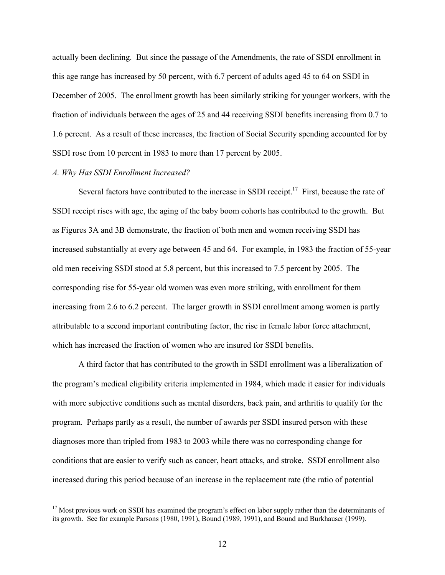actually been declining. But since the passage of the Amendments, the rate of SSDI enrollment in this age range has increased by 50 percent, with 6.7 percent of adults aged 45 to 64 on SSDI in December of 2005. The enrollment growth has been similarly striking for younger workers, with the fraction of individuals between the ages of 25 and 44 receiving SSDI benefits increasing from 0.7 to 1.6 percent. As a result of these increases, the fraction of Social Security spending accounted for by SSDI rose from 10 percent in 1983 to more than 17 percent by 2005.

### *A. Why Has SSDI Enrollment Increased?*

 $\overline{a}$ 

Several factors have contributed to the increase in SSDI receipt.<sup>17</sup> First, because the rate of SSDI receipt rises with age, the aging of the baby boom cohorts has contributed to the growth. But as Figures 3A and 3B demonstrate, the fraction of both men and women receiving SSDI has increased substantially at every age between 45 and 64. For example, in 1983 the fraction of 55-year old men receiving SSDI stood at 5.8 percent, but this increased to 7.5 percent by 2005. The corresponding rise for 55-year old women was even more striking, with enrollment for them increasing from 2.6 to 6.2 percent. The larger growth in SSDI enrollment among women is partly attributable to a second important contributing factor, the rise in female labor force attachment, which has increased the fraction of women who are insured for SSDI benefits.

A third factor that has contributed to the growth in SSDI enrollment was a liberalization of the program's medical eligibility criteria implemented in 1984, which made it easier for individuals with more subjective conditions such as mental disorders, back pain, and arthritis to qualify for the program. Perhaps partly as a result, the number of awards per SSDI insured person with these diagnoses more than tripled from 1983 to 2003 while there was no corresponding change for conditions that are easier to verify such as cancer, heart attacks, and stroke. SSDI enrollment also increased during this period because of an increase in the replacement rate (the ratio of potential

<sup>&</sup>lt;sup>17</sup> Most previous work on SSDI has examined the program's effect on labor supply rather than the determinants of its growth. See for example Parsons (1980, 1991), Bound (1989, 1991), and Bound and Burkhauser (1999).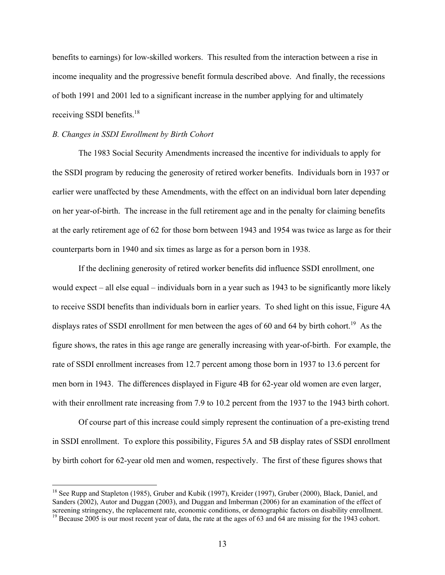benefits to earnings) for low-skilled workers. This resulted from the interaction between a rise in income inequality and the progressive benefit formula described above. And finally, the recessions of both 1991 and 2001 led to a significant increase in the number applying for and ultimately receiving SSDI benefits.<sup>18</sup>

### *B. Changes in SSDI Enrollment by Birth Cohort*

 $\overline{a}$ 

The 1983 Social Security Amendments increased the incentive for individuals to apply for the SSDI program by reducing the generosity of retired worker benefits. Individuals born in 1937 or earlier were unaffected by these Amendments, with the effect on an individual born later depending on her year-of-birth. The increase in the full retirement age and in the penalty for claiming benefits at the early retirement age of 62 for those born between 1943 and 1954 was twice as large as for their counterparts born in 1940 and six times as large as for a person born in 1938.

If the declining generosity of retired worker benefits did influence SSDI enrollment, one would expect – all else equal – individuals born in a year such as 1943 to be significantly more likely to receive SSDI benefits than individuals born in earlier years. To shed light on this issue, Figure 4A displays rates of SSDI enrollment for men between the ages of 60 and 64 by birth cohort.<sup>19</sup> As the figure shows, the rates in this age range are generally increasing with year-of-birth. For example, the rate of SSDI enrollment increases from 12.7 percent among those born in 1937 to 13.6 percent for men born in 1943. The differences displayed in Figure 4B for 62-year old women are even larger, with their enrollment rate increasing from 7.9 to 10.2 percent from the 1937 to the 1943 birth cohort.

Of course part of this increase could simply represent the continuation of a pre-existing trend in SSDI enrollment. To explore this possibility, Figures 5A and 5B display rates of SSDI enrollment by birth cohort for 62-year old men and women, respectively. The first of these figures shows that

<sup>&</sup>lt;sup>18</sup> See Rupp and Stapleton (1985), Gruber and Kubik (1997), Kreider (1997), Gruber (2000), Black, Daniel, and Sanders (2002), Autor and Duggan (2003), and Duggan and Imberman (2006) for an examination of the effect of screening stringency, the replacement rate, economic conditions, or demographic factors on disability enrollment.<br><sup>19</sup> Because 2005 is our most recent year of data, the rate at the ages of 63 and 64 are missing for the 194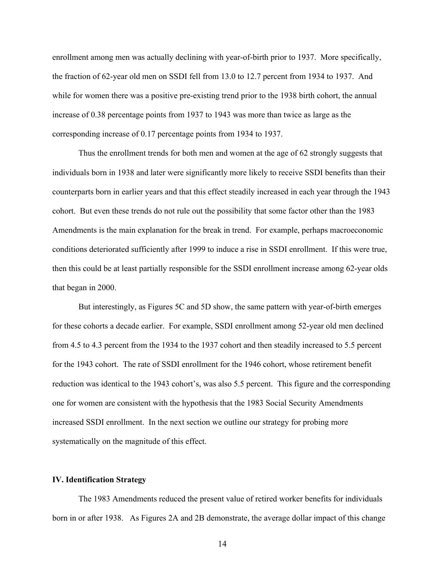enrollment among men was actually declining with year-of-birth prior to 1937. More specifically, the fraction of 62-year old men on SSDI fell from 13.0 to 12.7 percent from 1934 to 1937. And while for women there was a positive pre-existing trend prior to the 1938 birth cohort, the annual increase of 0.38 percentage points from 1937 to 1943 was more than twice as large as the corresponding increase of 0.17 percentage points from 1934 to 1937.

Thus the enrollment trends for both men and women at the age of 62 strongly suggests that individuals born in 1938 and later were significantly more likely to receive SSDI benefits than their counterparts born in earlier years and that this effect steadily increased in each year through the 1943 cohort. But even these trends do not rule out the possibility that some factor other than the 1983 Amendments is the main explanation for the break in trend. For example, perhaps macroeconomic conditions deteriorated sufficiently after 1999 to induce a rise in SSDI enrollment. If this were true, then this could be at least partially responsible for the SSDI enrollment increase among 62-year olds that began in 2000.

But interestingly, as Figures 5C and 5D show, the same pattern with year-of-birth emerges for these cohorts a decade earlier. For example, SSDI enrollment among 52-year old men declined from 4.5 to 4.3 percent from the 1934 to the 1937 cohort and then steadily increased to 5.5 percent for the 1943 cohort. The rate of SSDI enrollment for the 1946 cohort, whose retirement benefit reduction was identical to the 1943 cohort's, was also 5.5 percent. This figure and the corresponding one for women are consistent with the hypothesis that the 1983 Social Security Amendments increased SSDI enrollment. In the next section we outline our strategy for probing more systematically on the magnitude of this effect.

## **IV. Identification Strategy**

The 1983 Amendments reduced the present value of retired worker benefits for individuals born in or after 1938. As Figures 2A and 2B demonstrate, the average dollar impact of this change

14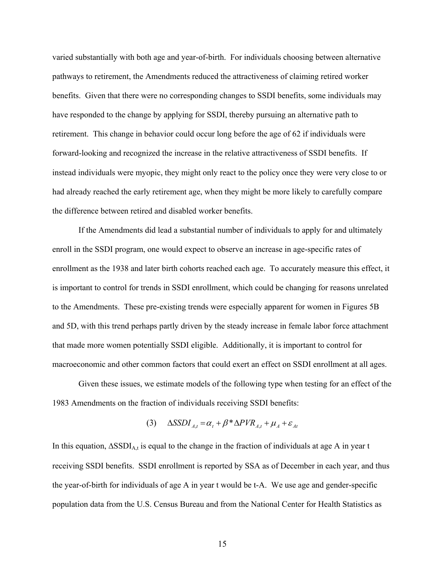varied substantially with both age and year-of-birth. For individuals choosing between alternative pathways to retirement, the Amendments reduced the attractiveness of claiming retired worker benefits. Given that there were no corresponding changes to SSDI benefits, some individuals may have responded to the change by applying for SSDI, thereby pursuing an alternative path to retirement. This change in behavior could occur long before the age of 62 if individuals were forward-looking and recognized the increase in the relative attractiveness of SSDI benefits. If instead individuals were myopic, they might only react to the policy once they were very close to or had already reached the early retirement age, when they might be more likely to carefully compare the difference between retired and disabled worker benefits.

If the Amendments did lead a substantial number of individuals to apply for and ultimately enroll in the SSDI program, one would expect to observe an increase in age-specific rates of enrollment as the 1938 and later birth cohorts reached each age. To accurately measure this effect, it is important to control for trends in SSDI enrollment, which could be changing for reasons unrelated to the Amendments. These pre-existing trends were especially apparent for women in Figures 5B and 5D, with this trend perhaps partly driven by the steady increase in female labor force attachment that made more women potentially SSDI eligible. Additionally, it is important to control for macroeconomic and other common factors that could exert an effect on SSDI enrollment at all ages.

Given these issues, we estimate models of the following type when testing for an effect of the 1983 Amendments on the fraction of individuals receiving SSDI benefits:

$$
(3) \quad \Delta SSDI_{A,t} = \alpha_t + \beta^* \Delta PVR_{A,t} + \mu_A + \varepsilon_{At}
$$

In this equation,  $\Delta$ SSDI<sub>A,t</sub> is equal to the change in the fraction of individuals at age A in year t receiving SSDI benefits. SSDI enrollment is reported by SSA as of December in each year, and thus the year-of-birth for individuals of age A in year t would be t-A. We use age and gender-specific population data from the U.S. Census Bureau and from the National Center for Health Statistics as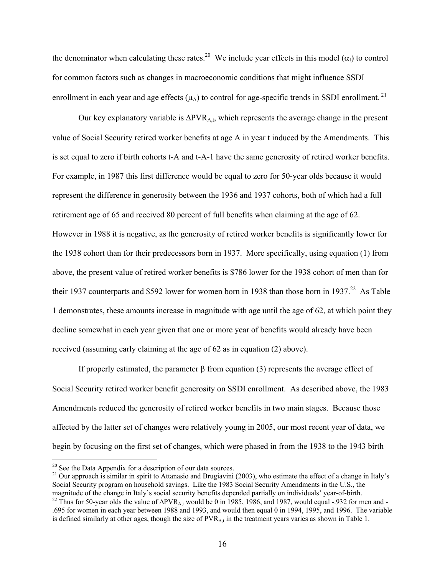the denominator when calculating these rates.<sup>20</sup> We include year effects in this model ( $\alpha_t$ ) to control for common factors such as changes in macroeconomic conditions that might influence SSDI enrollment in each year and age effects  $(\mu_A)$  to control for age-specific trends in SSDI enrollment.<sup>21</sup>

 Our key explanatory variable is ∆PVRA,t, which represents the average change in the present value of Social Security retired worker benefits at age A in year t induced by the Amendments. This is set equal to zero if birth cohorts t-A and t-A-1 have the same generosity of retired worker benefits. For example, in 1987 this first difference would be equal to zero for 50-year olds because it would represent the difference in generosity between the 1936 and 1937 cohorts, both of which had a full retirement age of 65 and received 80 percent of full benefits when claiming at the age of 62. However in 1988 it is negative, as the generosity of retired worker benefits is significantly lower for the 1938 cohort than for their predecessors born in 1937. More specifically, using equation (1) from above, the present value of retired worker benefits is \$786 lower for the 1938 cohort of men than for their 1937 counterparts and \$592 lower for women born in 1938 than those born in 1937.<sup>22</sup> As Table 1 demonstrates, these amounts increase in magnitude with age until the age of 62, at which point they decline somewhat in each year given that one or more year of benefits would already have been received (assuming early claiming at the age of 62 as in equation (2) above).

If properly estimated, the parameter β from equation (3) represents the average effect of Social Security retired worker benefit generosity on SSDI enrollment. As described above, the 1983 Amendments reduced the generosity of retired worker benefits in two main stages. Because those affected by the latter set of changes were relatively young in 2005, our most recent year of data, we begin by focusing on the first set of changes, which were phased in from the 1938 to the 1943 birth

 $20$  See the Data Appendix for a description of our data sources.

<sup>&</sup>lt;sup>21</sup> Our approach is similar in spirit to Attanasio and Brugiavini (2003), who estimate the effect of a change in Italy's Social Security program on household savings. Like the 1983 Social Security Amendments in the U.S., the magnitude of the change in Italy's social security benefits depended partially on individuals' year-of-birth.

<sup>&</sup>lt;sup>22</sup> Thus for 50-year olds the value of  $\Delta PVR_{A,t}$  would be 0 in 1985, 1986, and 1987, would equal -.932 for men and -.695 for women in each year between 1988 and 1993, and would then equal 0 in 1994, 1995, and 1996. The variable is defined similarly at other ages, though the size of PVR<sub>A,t</sub> in the treatment years varies as shown in Table 1.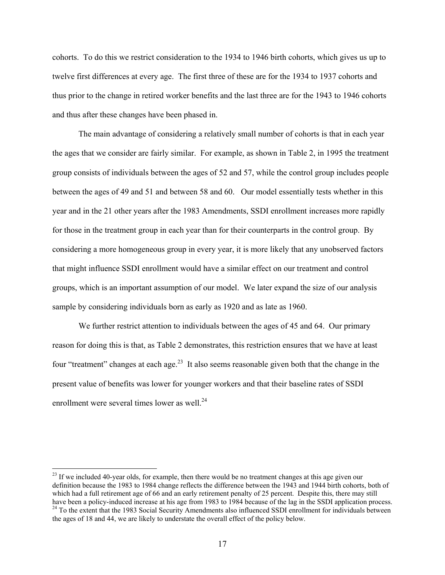cohorts. To do this we restrict consideration to the 1934 to 1946 birth cohorts, which gives us up to twelve first differences at every age. The first three of these are for the 1934 to 1937 cohorts and thus prior to the change in retired worker benefits and the last three are for the 1943 to 1946 cohorts and thus after these changes have been phased in.

The main advantage of considering a relatively small number of cohorts is that in each year the ages that we consider are fairly similar. For example, as shown in Table 2, in 1995 the treatment group consists of individuals between the ages of 52 and 57, while the control group includes people between the ages of 49 and 51 and between 58 and 60. Our model essentially tests whether in this year and in the 21 other years after the 1983 Amendments, SSDI enrollment increases more rapidly for those in the treatment group in each year than for their counterparts in the control group. By considering a more homogeneous group in every year, it is more likely that any unobserved factors that might influence SSDI enrollment would have a similar effect on our treatment and control groups, which is an important assumption of our model. We later expand the size of our analysis sample by considering individuals born as early as 1920 and as late as 1960.

We further restrict attention to individuals between the ages of 45 and 64. Our primary reason for doing this is that, as Table 2 demonstrates, this restriction ensures that we have at least four "treatment" changes at each age.<sup>23</sup> It also seems reasonable given both that the change in the present value of benefits was lower for younger workers and that their baseline rates of SSDI enrollment were several times lower as well.<sup>24</sup>

<sup>&</sup>lt;sup>23</sup> If we included 40-year olds, for example, then there would be no treatment changes at this age given our definition because the 1983 to 1984 change reflects the difference between the 1943 and 1944 birth cohorts, both of which had a full retirement age of 66 and an early retirement penalty of 25 percent. Despite this, there may still have been a policy-induced increase at his age from 1983 to 1984 because of the lag in the SSDI application process. <sup>24</sup> To the extent that the 1983 Social Security Amendments also influenced SSDI enrollment for individuals between the ages of 18 and 44, we are likely to understate the overall effect of the policy below.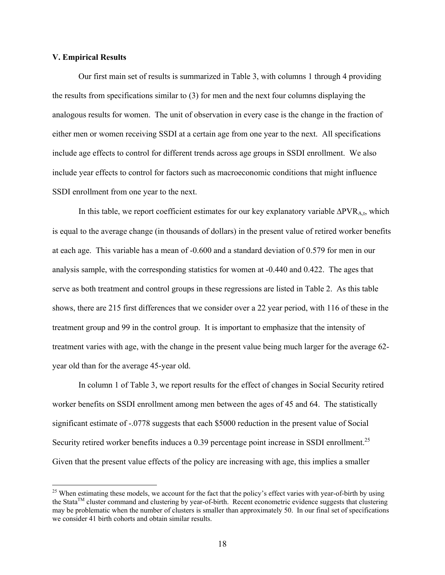## **V. Empirical Results**

 $\overline{a}$ 

Our first main set of results is summarized in Table 3, with columns 1 through 4 providing the results from specifications similar to (3) for men and the next four columns displaying the analogous results for women. The unit of observation in every case is the change in the fraction of either men or women receiving SSDI at a certain age from one year to the next. All specifications include age effects to control for different trends across age groups in SSDI enrollment. We also include year effects to control for factors such as macroeconomic conditions that might influence SSDI enrollment from one year to the next.

In this table, we report coefficient estimates for our key explanatory variable ∆PVR<sub>A,t</sub>, which is equal to the average change (in thousands of dollars) in the present value of retired worker benefits at each age. This variable has a mean of -0.600 and a standard deviation of 0.579 for men in our analysis sample, with the corresponding statistics for women at -0.440 and 0.422. The ages that serve as both treatment and control groups in these regressions are listed in Table 2. As this table shows, there are 215 first differences that we consider over a 22 year period, with 116 of these in the treatment group and 99 in the control group. It is important to emphasize that the intensity of treatment varies with age, with the change in the present value being much larger for the average 62 year old than for the average 45-year old.

In column 1 of Table 3, we report results for the effect of changes in Social Security retired worker benefits on SSDI enrollment among men between the ages of 45 and 64. The statistically significant estimate of -.0778 suggests that each \$5000 reduction in the present value of Social Security retired worker benefits induces a 0.39 percentage point increase in SSDI enrollment.<sup>25</sup> Given that the present value effects of the policy are increasing with age, this implies a smaller

 $^{25}$  When estimating these models, we account for the fact that the policy's effect varies with year-of-birth by using the StataTM cluster command and clustering by year-of-birth. Recent econometric evidence suggests that clustering may be problematic when the number of clusters is smaller than approximately 50. In our final set of specifications we consider 41 birth cohorts and obtain similar results.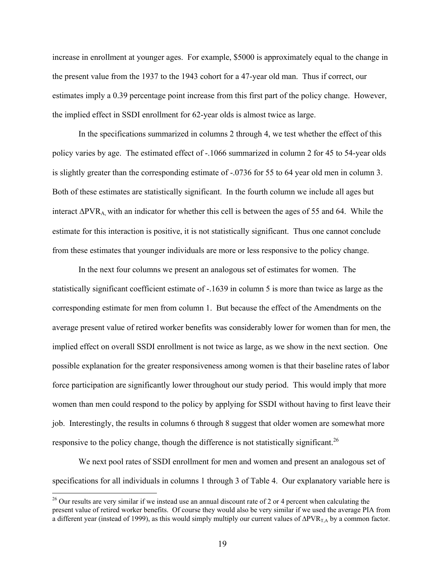increase in enrollment at younger ages. For example, \$5000 is approximately equal to the change in the present value from the 1937 to the 1943 cohort for a 47-year old man. Thus if correct, our estimates imply a 0.39 percentage point increase from this first part of the policy change. However, the implied effect in SSDI enrollment for 62-year olds is almost twice as large.

 In the specifications summarized in columns 2 through 4, we test whether the effect of this policy varies by age. The estimated effect of -.1066 summarized in column 2 for 45 to 54-year olds is slightly greater than the corresponding estimate of -.0736 for 55 to 64 year old men in column 3. Both of these estimates are statistically significant. In the fourth column we include all ages but interact ∆PVRA, with an indicator for whether this cell is between the ages of 55 and 64. While the estimate for this interaction is positive, it is not statistically significant. Thus one cannot conclude from these estimates that younger individuals are more or less responsive to the policy change.

In the next four columns we present an analogous set of estimates for women. The statistically significant coefficient estimate of -.1639 in column 5 is more than twice as large as the corresponding estimate for men from column 1. But because the effect of the Amendments on the average present value of retired worker benefits was considerably lower for women than for men, the implied effect on overall SSDI enrollment is not twice as large, as we show in the next section. One possible explanation for the greater responsiveness among women is that their baseline rates of labor force participation are significantly lower throughout our study period. This would imply that more women than men could respond to the policy by applying for SSDI without having to first leave their job. Interestingly, the results in columns 6 through 8 suggest that older women are somewhat more responsive to the policy change, though the difference is not statistically significant.<sup>26</sup>

We next pool rates of SSDI enrollment for men and women and present an analogous set of specifications for all individuals in columns 1 through 3 of Table 4. Our explanatory variable here is

 $26$  Our results are very similar if we instead use an annual discount rate of 2 or 4 percent when calculating the present value of retired worker benefits. Of course they would also be very similar if we used the average PIA from a different year (instead of 1999), as this would simply multiply our current values of ∆PVR<sub>T,A</sub> by a common factor.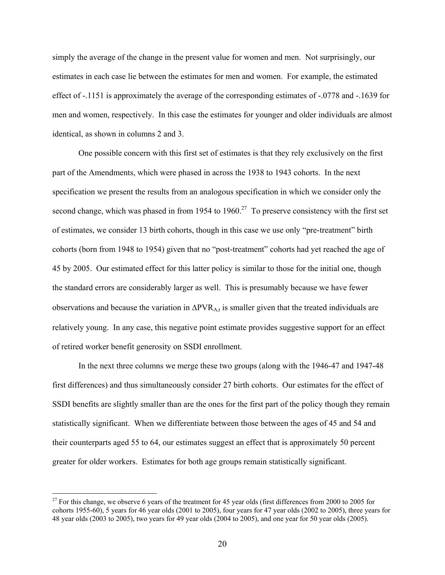simply the average of the change in the present value for women and men. Not surprisingly, our estimates in each case lie between the estimates for men and women. For example, the estimated effect of -.1151 is approximately the average of the corresponding estimates of -.0778 and -.1639 for men and women, respectively. In this case the estimates for younger and older individuals are almost identical, as shown in columns 2 and 3.

One possible concern with this first set of estimates is that they rely exclusively on the first part of the Amendments, which were phased in across the 1938 to 1943 cohorts. In the next specification we present the results from an analogous specification in which we consider only the second change, which was phased in from 1954 to 1960.<sup>27</sup> To preserve consistency with the first set of estimates, we consider 13 birth cohorts, though in this case we use only "pre-treatment" birth cohorts (born from 1948 to 1954) given that no "post-treatment" cohorts had yet reached the age of 45 by 2005. Our estimated effect for this latter policy is similar to those for the initial one, though the standard errors are considerably larger as well. This is presumably because we have fewer observations and because the variation in ∆PVR<sub>A,t</sub> is smaller given that the treated individuals are relatively young. In any case, this negative point estimate provides suggestive support for an effect of retired worker benefit generosity on SSDI enrollment.

In the next three columns we merge these two groups (along with the 1946-47 and 1947-48 first differences) and thus simultaneously consider 27 birth cohorts. Our estimates for the effect of SSDI benefits are slightly smaller than are the ones for the first part of the policy though they remain statistically significant. When we differentiate between those between the ages of 45 and 54 and their counterparts aged 55 to 64, our estimates suggest an effect that is approximately 50 percent greater for older workers. Estimates for both age groups remain statistically significant.

 $27$  For this change, we observe 6 years of the treatment for 45 year olds (first differences from 2000 to 2005 for cohorts 1955-60), 5 years for 46 year olds (2001 to 2005), four years for 47 year olds (2002 to 2005), three years for 48 year olds (2003 to 2005), two years for 49 year olds (2004 to 2005), and one year for 50 year olds (2005).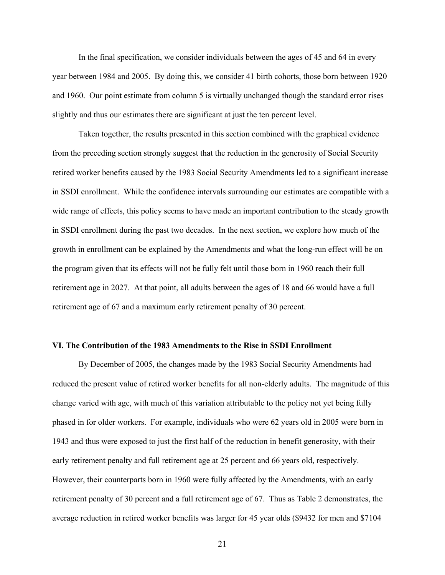In the final specification, we consider individuals between the ages of 45 and 64 in every year between 1984 and 2005. By doing this, we consider 41 birth cohorts, those born between 1920 and 1960. Our point estimate from column 5 is virtually unchanged though the standard error rises slightly and thus our estimates there are significant at just the ten percent level.

Taken together, the results presented in this section combined with the graphical evidence from the preceding section strongly suggest that the reduction in the generosity of Social Security retired worker benefits caused by the 1983 Social Security Amendments led to a significant increase in SSDI enrollment. While the confidence intervals surrounding our estimates are compatible with a wide range of effects, this policy seems to have made an important contribution to the steady growth in SSDI enrollment during the past two decades. In the next section, we explore how much of the growth in enrollment can be explained by the Amendments and what the long-run effect will be on the program given that its effects will not be fully felt until those born in 1960 reach their full retirement age in 2027. At that point, all adults between the ages of 18 and 66 would have a full retirement age of 67 and a maximum early retirement penalty of 30 percent.

## **VI. The Contribution of the 1983 Amendments to the Rise in SSDI Enrollment**

By December of 2005, the changes made by the 1983 Social Security Amendments had reduced the present value of retired worker benefits for all non-elderly adults. The magnitude of this change varied with age, with much of this variation attributable to the policy not yet being fully phased in for older workers. For example, individuals who were 62 years old in 2005 were born in 1943 and thus were exposed to just the first half of the reduction in benefit generosity, with their early retirement penalty and full retirement age at 25 percent and 66 years old, respectively. However, their counterparts born in 1960 were fully affected by the Amendments, with an early retirement penalty of 30 percent and a full retirement age of 67. Thus as Table 2 demonstrates, the average reduction in retired worker benefits was larger for 45 year olds (\$9432 for men and \$7104

21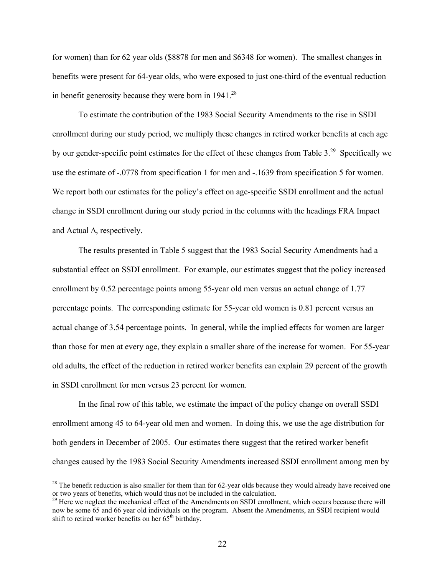for women) than for 62 year olds (\$8878 for men and \$6348 for women). The smallest changes in benefits were present for 64-year olds, who were exposed to just one-third of the eventual reduction in benefit generosity because they were born in  $1941.^{28}$ 

To estimate the contribution of the 1983 Social Security Amendments to the rise in SSDI enrollment during our study period, we multiply these changes in retired worker benefits at each age by our gender-specific point estimates for the effect of these changes from Table 3.29 Specifically we use the estimate of -.0778 from specification 1 for men and -.1639 from specification 5 for women. We report both our estimates for the policy's effect on age-specific SSDI enrollment and the actual change in SSDI enrollment during our study period in the columns with the headings FRA Impact and Actual ∆, respectively.

The results presented in Table 5 suggest that the 1983 Social Security Amendments had a substantial effect on SSDI enrollment. For example, our estimates suggest that the policy increased enrollment by 0.52 percentage points among 55-year old men versus an actual change of 1.77 percentage points. The corresponding estimate for 55-year old women is 0.81 percent versus an actual change of 3.54 percentage points. In general, while the implied effects for women are larger than those for men at every age, they explain a smaller share of the increase for women. For 55-year old adults, the effect of the reduction in retired worker benefits can explain 29 percent of the growth in SSDI enrollment for men versus 23 percent for women.

In the final row of this table, we estimate the impact of the policy change on overall SSDI enrollment among 45 to 64-year old men and women. In doing this, we use the age distribution for both genders in December of 2005. Our estimates there suggest that the retired worker benefit changes caused by the 1983 Social Security Amendments increased SSDI enrollment among men by

 $28$  The benefit reduction is also smaller for them than for 62-year olds because they would already have received one or two years of benefits, which would thus not be included in the calculation.

<sup>&</sup>lt;sup>29</sup> Here we neglect the mechanical effect of the Amendments on SSDI enrollment, which occurs because there will now be some 65 and 66 year old individuals on the program. Absent the Amendments, an SSDI recipient would shift to retired worker benefits on her  $65<sup>th</sup>$  birthday.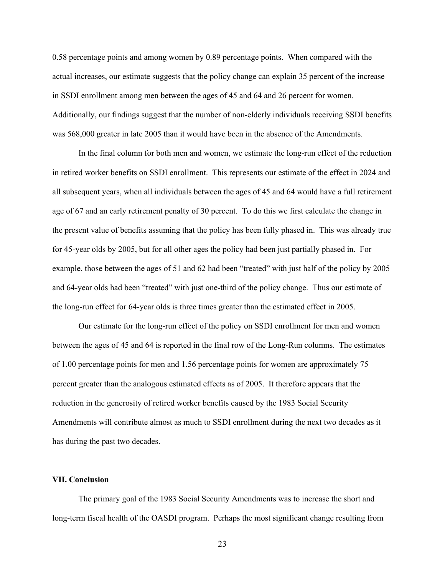0.58 percentage points and among women by 0.89 percentage points. When compared with the actual increases, our estimate suggests that the policy change can explain 35 percent of the increase in SSDI enrollment among men between the ages of 45 and 64 and 26 percent for women. Additionally, our findings suggest that the number of non-elderly individuals receiving SSDI benefits was 568,000 greater in late 2005 than it would have been in the absence of the Amendments.

In the final column for both men and women, we estimate the long-run effect of the reduction in retired worker benefits on SSDI enrollment. This represents our estimate of the effect in 2024 and all subsequent years, when all individuals between the ages of 45 and 64 would have a full retirement age of 67 and an early retirement penalty of 30 percent. To do this we first calculate the change in the present value of benefits assuming that the policy has been fully phased in. This was already true for 45-year olds by 2005, but for all other ages the policy had been just partially phased in. For example, those between the ages of 51 and 62 had been "treated" with just half of the policy by 2005 and 64-year olds had been "treated" with just one-third of the policy change. Thus our estimate of the long-run effect for 64-year olds is three times greater than the estimated effect in 2005.

 Our estimate for the long-run effect of the policy on SSDI enrollment for men and women between the ages of 45 and 64 is reported in the final row of the Long-Run columns. The estimates of 1.00 percentage points for men and 1.56 percentage points for women are approximately 75 percent greater than the analogous estimated effects as of 2005. It therefore appears that the reduction in the generosity of retired worker benefits caused by the 1983 Social Security Amendments will contribute almost as much to SSDI enrollment during the next two decades as it has during the past two decades.

# **VII. Conclusion**

The primary goal of the 1983 Social Security Amendments was to increase the short and long-term fiscal health of the OASDI program. Perhaps the most significant change resulting from

23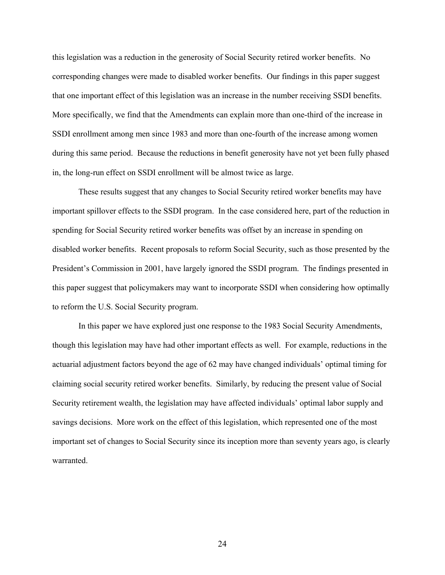this legislation was a reduction in the generosity of Social Security retired worker benefits. No corresponding changes were made to disabled worker benefits. Our findings in this paper suggest that one important effect of this legislation was an increase in the number receiving SSDI benefits. More specifically, we find that the Amendments can explain more than one-third of the increase in SSDI enrollment among men since 1983 and more than one-fourth of the increase among women during this same period. Because the reductions in benefit generosity have not yet been fully phased in, the long-run effect on SSDI enrollment will be almost twice as large.

These results suggest that any changes to Social Security retired worker benefits may have important spillover effects to the SSDI program. In the case considered here, part of the reduction in spending for Social Security retired worker benefits was offset by an increase in spending on disabled worker benefits. Recent proposals to reform Social Security, such as those presented by the President's Commission in 2001, have largely ignored the SSDI program. The findings presented in this paper suggest that policymakers may want to incorporate SSDI when considering how optimally to reform the U.S. Social Security program.

In this paper we have explored just one response to the 1983 Social Security Amendments, though this legislation may have had other important effects as well. For example, reductions in the actuarial adjustment factors beyond the age of 62 may have changed individuals' optimal timing for claiming social security retired worker benefits. Similarly, by reducing the present value of Social Security retirement wealth, the legislation may have affected individuals' optimal labor supply and savings decisions. More work on the effect of this legislation, which represented one of the most important set of changes to Social Security since its inception more than seventy years ago, is clearly warranted.

24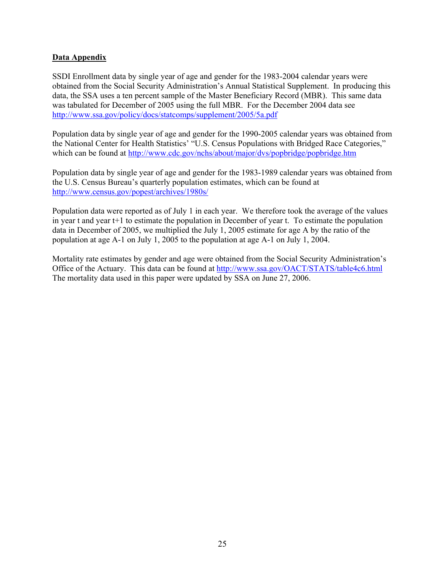# **Data Appendix**

SSDI Enrollment data by single year of age and gender for the 1983-2004 calendar years were obtained from the Social Security Administration's Annual Statistical Supplement. In producing this data, the SSA uses a ten percent sample of the Master Beneficiary Record (MBR). This same data was tabulated for December of 2005 using the full MBR. For the December 2004 data see http://www.ssa.gov/policy/docs/statcomps/supplement/2005/5a.pdf

Population data by single year of age and gender for the 1990-2005 calendar years was obtained from the National Center for Health Statistics' "U.S. Census Populations with Bridged Race Categories," which can be found at http://www.cdc.gov/nchs/about/major/dvs/popbridge/popbridge.htm

Population data by single year of age and gender for the 1983-1989 calendar years was obtained from the U.S. Census Bureau's quarterly population estimates, which can be found at http://www.census.gov/popest/archives/1980s/

Population data were reported as of July 1 in each year. We therefore took the average of the values in year t and year  $t+1$  to estimate the population in December of year t. To estimate the population data in December of 2005, we multiplied the July 1, 2005 estimate for age A by the ratio of the population at age A-1 on July 1, 2005 to the population at age A-1 on July 1, 2004.

Mortality rate estimates by gender and age were obtained from the Social Security Administration's Office of the Actuary. This data can be found at http://www.ssa.gov/OACT/STATS/table4c6.html The mortality data used in this paper were updated by SSA on June 27, 2006.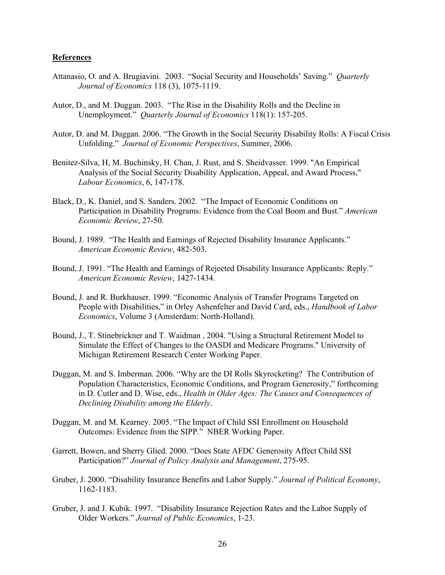#### **References**

- Attanasio, O. and A. Brugiavini. 2003. "Social Security and Households' Saving." *Quarterly Journal of Economics* 118 (3), 1075-1119.
- Autor, D., and M. Duggan. 2003. "The Rise in the Disability Rolls and the Decline in Unemployment." *Quarterly Journal of Economics* 118(1): 157-205.
- Autor, D. and M. Duggan. 2006. "The Growth in the Social Security Disability Rolls: A Fiscal Crisis Unfolding." *Journal of Economic Perspectives*, Summer, 2006.
- Benitez-Silva, H, M. Buchinsky, H. Chan, J. Rust, and S. Sheidvasser. 1999. "An Empirical Analysis of the Social Security Disability Application, Appeal, and Award Process," *Labour Economics*, 6, 147-178.
- Black, D., K. Daniel, and S. Sanders. 2002. "The Impact of Economic Conditions on Participation in Disability Programs: Evidence from the Coal Boom and Bust." *American Economic Review*, 27-50.
- Bound, J. 1989. "The Health and Earnings of Rejected Disability Insurance Applicants." *American Economic Review*, 482-503.
- Bound, J. 1991. "The Health and Earnings of Rejected Disability Insurance Applicants: Reply." *American Economic Review*, 1427-1434.
- Bound, J. and R. Burkhauser. 1999. "Economic Analysis of Transfer Programs Targeted on People with Disabilities," in Orley Ashenfelter and David Card, eds., *Handbook of Labor Economics*, Volume 3 (Amsterdam: North-Holland).
- Bound, J., T. Stinebrickner and T. Waidman , 2004. "Using a Structural Retirement Model to Simulate the Effect of Changes to the OASDI and Medicare Programs." University of Michigan Retirement Research Center Working Paper.
- Duggan, M. and S. Imberman. 2006. "Why are the DI Rolls Skyrocketing? The Contribution of Population Characteristics, Economic Conditions, and Program Generosity," forthcoming in D. Cutler and D. Wise, eds., *Health in Older Ages: The Causes and Consequences of Declining Disability among the Elderly*.
- Duggan, M. and M. Kearney. 2005. "The Impact of Child SSI Enrollment on Household Outcomes: Evidence from the SIPP." NBER Working Paper.
- Garrett, Bowen, and Sherry Glied. 2000. "Does State AFDC Generosity Affect Child SSI Participation?" *Journal of Policy Analysis and Management*, 275-95.
- Gruber, J. 2000. "Disability Insurance Benefits and Labor Supply." *Journal of Political Economy*, 1162-1183.
- Gruber, J. and J. Kubik. 1997. "Disability Insurance Rejection Rates and the Labor Supply of Older Workers." *Journal of Public Economics*, 1-23.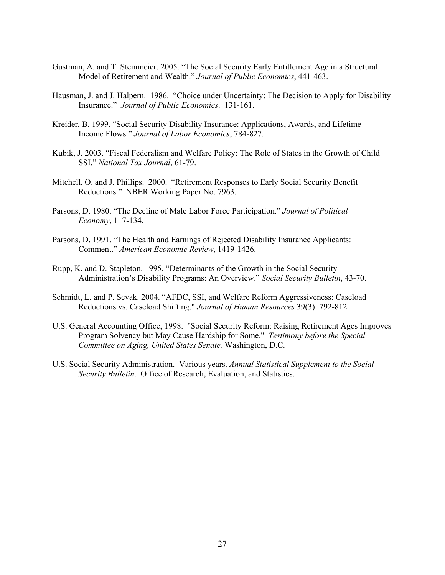- Gustman, A. and T. Steinmeier. 2005. "The Social Security Early Entitlement Age in a Structural Model of Retirement and Wealth." *Journal of Public Economics*, 441-463.
- Hausman, J. and J. Halpern. 1986. "Choice under Uncertainty: The Decision to Apply for Disability Insurance." *Journal of Public Economics*. 131-161.
- Kreider, B. 1999. "Social Security Disability Insurance: Applications, Awards, and Lifetime Income Flows." *Journal of Labor Economics*, 784-827.
- Kubik, J. 2003. "Fiscal Federalism and Welfare Policy: The Role of States in the Growth of Child SSI." *National Tax Journal*, 61-79.
- Mitchell, O. and J. Phillips. 2000. "Retirement Responses to Early Social Security Benefit Reductions." NBER Working Paper No. 7963.
- Parsons, D. 1980. "The Decline of Male Labor Force Participation." *Journal of Political Economy*, 117-134.
- Parsons, D. 1991. "The Health and Earnings of Rejected Disability Insurance Applicants: Comment." *American Economic Review*, 1419-1426.
- Rupp, K. and D. Stapleton. 1995. "Determinants of the Growth in the Social Security Administration's Disability Programs: An Overview." *Social Security Bulletin*, 43-70.
- Schmidt, L. and P. Sevak. 2004. "AFDC, SSI, and Welfare Reform Aggressiveness: Caseload Reductions vs. Caseload Shifting." *Journal of Human Resources* 39(3): 792-812*.*
- U.S. General Accounting Office, 1998. "Social Security Reform: Raising Retirement Ages Improves Program Solvency but May Cause Hardship for Some." *Testimony before the Special Committee on Aging, United States Senate.* Washington, D.C.
- U.S. Social Security Administration. Various years. *Annual Statistical Supplement to the Social Security Bulletin*. Office of Research, Evaluation, and Statistics.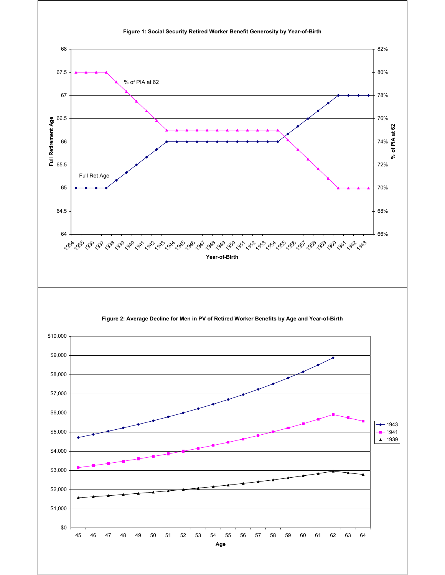

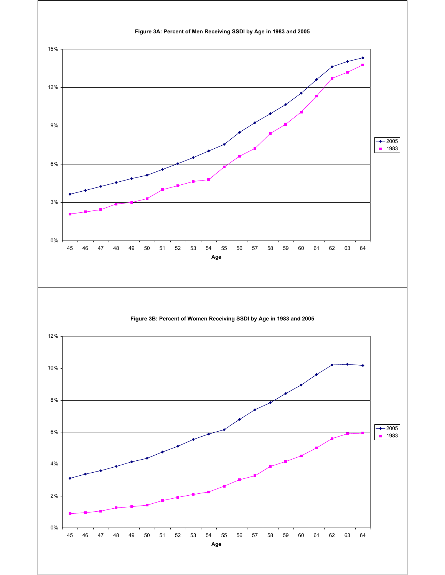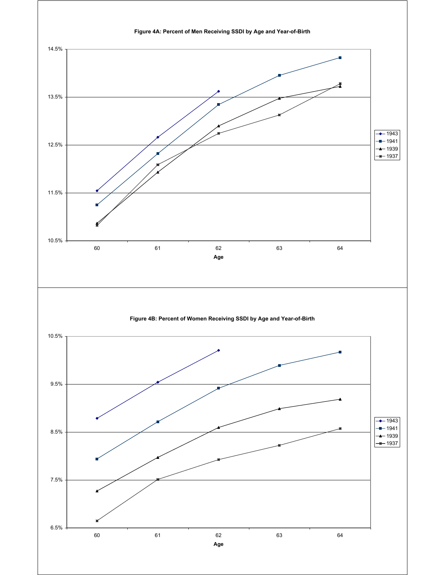**Figure 4A: Percent of Men Receiving SSDI by Age and Year-of-Birth** 10.5% 11.5% 12.5% 13.5% 14.5% 60 61 62 63 64 **Age** 1943  $-1941$  $+$ 1939  $-$  1937 **Figure 4B: Percent of Women Receiving SSDI by Age and Year-of-Birth**  $6.5%$ 7.5% 8.5% 9.5% 10.5% 60 61 62 63 64  $+ 1943$  $-1941$  $+$ 1939  $+$ 1937

**Age**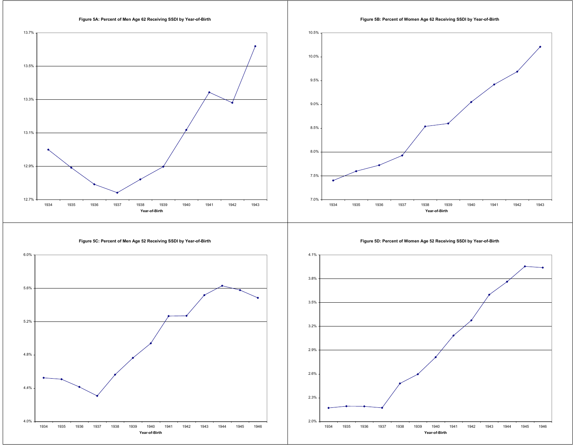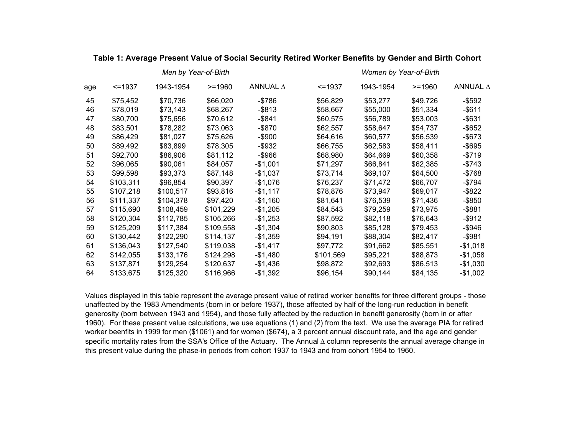|     |              | Men by Year-of-Birth |           | Women by Year-of-Birth |              |           |          |           |  |  |
|-----|--------------|----------------------|-----------|------------------------|--------------|-----------|----------|-----------|--|--|
| age | $\le$ = 1937 | 1943-1954            | $>= 1960$ | ANNUAL A               | $\le$ = 1937 | 1943-1954 | $>=1960$ | ANNUAL A  |  |  |
| 45  | \$75,452     | \$70,736             | \$66,020  | $-$ \$786              | \$56,829     | \$53,277  | \$49,726 | $-$ \$592 |  |  |
| 46  | \$78,019     | \$73,143             | \$68,267  | -\$813                 | \$58,667     | \$55,000  | \$51,334 | $-$ \$611 |  |  |
| 47  | \$80,700     | \$75,656             | \$70,612  | $-$ \$841              | \$60,575     | \$56,789  | \$53,003 | $-$ \$631 |  |  |
| 48  | \$83,501     | \$78,282             | \$73,063  | -\$870                 | \$62,557     | \$58,647  | \$54,737 | -\$652    |  |  |
| 49  | \$86,429     | \$81,027             | \$75,626  | $-$ \$900              | \$64,616     | \$60,577  | \$56,539 | $-$ \$673 |  |  |
| 50  | \$89,492     | \$83,899             | \$78,305  | $-$ \$932              | \$66,755     | \$62,583  | \$58,411 | $-$ \$695 |  |  |
| 51  | \$92,700     | \$86,906             | \$81,112  | $-$ \$966              | \$68,980     | \$64,669  | \$60,358 | $-$ \$719 |  |  |
| 52  | \$96,065     | \$90,061             | \$84,057  | -\$1,001               | \$71,297     | \$66,841  | \$62,385 | $-$ \$743 |  |  |
| 53  | \$99,598     | \$93,373             | \$87,148  | $-$1,037$              | \$73,714     | \$69,107  | \$64,500 | $-$ \$768 |  |  |
| 54  | \$103,311    | \$96,854             | \$90,397  | -\$1,076               | \$76,237     | \$71,472  | \$66,707 | -\$794    |  |  |
| 55  | \$107,218    | \$100,517            | \$93,816  | $-$1,117$              | \$78,876     | \$73,947  | \$69,017 | $-$ \$822 |  |  |
| 56  | \$111,337    | \$104,378            | \$97,420  | $-$1,160$              | \$81,641     | \$76,539  | \$71,436 | $-$ \$850 |  |  |
| 57  | \$115,690    | \$108,459            | \$101,229 | $-$1,205$              | \$84,543     | \$79,259  | \$73,975 | $-$ \$881 |  |  |
| 58  | \$120,304    | \$112,785            | \$105,266 | $-$1,253$              | \$87,592     | \$82,118  | \$76,643 | $-$ \$912 |  |  |
| 59  | \$125,209    | \$117,384            | \$109,558 | $-$1,304$              | \$90,803     | \$85,128  | \$79,453 | -\$946    |  |  |
| 60  | \$130,442    | \$122,290            | \$114,137 | $-$1,359$              | \$94,191     | \$88,304  | \$82,417 | -\$981    |  |  |
| 61  | \$136,043    | \$127,540            | \$119,038 | $-$1,417$              | \$97,772     | \$91,662  | \$85,551 | $-$1,018$ |  |  |
| 62  | \$142,055    | \$133,176            | \$124,298 | -\$1,480               | \$101,569    | \$95,221  | \$88,873 | $-$1,058$ |  |  |
| 63  | \$137,871    | \$129,254            | \$120,637 | -\$1,436               | \$98,872     | \$92,693  | \$86,513 | -\$1,030  |  |  |
| 64  | \$133,675    | \$125,320            | \$116,966 | $-$1,392$              | \$96,154     | \$90,144  | \$84,135 | $-$1,002$ |  |  |

### **Table 1: Average Present Value of Social Security Retired Worker Benefits by Gender and Birth Cohort**

Values displayed in this table represent the average present value of retired worker benefits for three different groups - those unaffected by the 1983 Amendments (born in or before 1937), those affected by half of the long-run reduction in benefit generosity (born between 1943 and 1954), and those fully affected by the reduction in benefit generosity (born in or after 1960). For these present value calculations, we use equations (1) and (2) from the text. We use the average PIA for retired worker beenfits in 1999 for men (\$1061) and for women (\$674), a 3 percent annual discount rate, and the age and gender specific mortality rates from the SSA's Office of the Actuary. The Annual ∆ column represents the annual average change in this present value during the phase-in periods from cohort 1937 to 1943 and from cohort 1954 to 1960.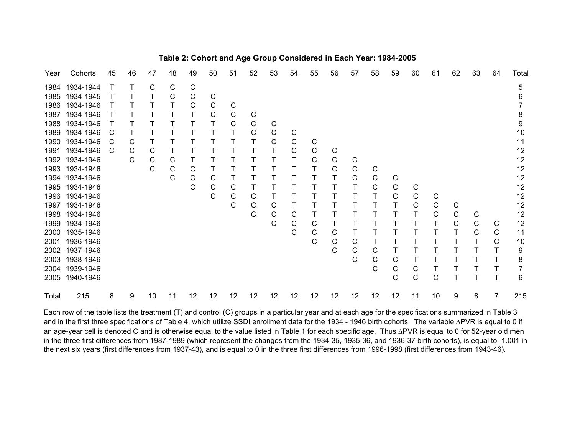| Year  | Cohorts        | 45 | 46 | 47          | 48 | 49           | 50 | 51 | 52 | 53 | 54           | 55 | 56 | 57           | 58 | 59          | 60 | 61           | 62 | 63           | 64 | Total |
|-------|----------------|----|----|-------------|----|--------------|----|----|----|----|--------------|----|----|--------------|----|-------------|----|--------------|----|--------------|----|-------|
| 1984  | 1934-1944      |    |    | C           | С  | C            |    |    |    |    |              |    |    |              |    |             |    |              |    |              |    | 5     |
| 1985  | 1934-1945      |    |    |             | C  | C            | С  |    |    |    |              |    |    |              |    |             |    |              |    |              |    | 6     |
| 1986  | 1934-1946      |    |    |             |    | $\mathsf{C}$ | C  | С  |    |    |              |    |    |              |    |             |    |              |    |              |    |       |
| 1987  | 1934-1946      |    |    |             |    |              | С  | C  | С  |    |              |    |    |              |    |             |    |              |    |              |    | 8     |
|       | 1988 1934-1946 |    |    |             |    |              |    | С  | C  | С  |              |    |    |              |    |             |    |              |    |              |    | 9     |
| 1989  | 1934-1946      | C  |    |             |    |              |    |    | C  | C  | C            |    |    |              |    |             |    |              |    |              |    | 10    |
|       | 1990 1934-1946 | C  | С  |             |    |              |    |    |    | C  | ${\bf C}$    | С  |    |              |    |             |    |              |    |              |    | 11    |
| 1991  | 1934-1946      | C  | С  | C           |    |              |    |    |    |    | С            | C  | С  |              |    |             |    |              |    |              |    | 12    |
|       | 1992 1934-1946 |    | C  | C           | С  |              |    |    |    |    | Τ            | C  | C  | $\mathsf{C}$ |    |             |    |              |    |              |    | 12    |
| 1993  | 1934-1946      |    |    | $\mathsf C$ | C  | C            |    |    |    |    |              | т  | C  | $\mathbf C$  | С  |             |    |              |    |              |    | 12    |
| 1994  | 1934-1946      |    |    |             | C  | C            | С  |    | т  |    |              |    |    | C            | C  | C           |    |              |    |              |    | 12    |
| 1995  | 1934-1946      |    |    |             |    | $\mathsf{C}$ | С  | С  | Τ  |    |              |    |    |              | C  | $\mathsf C$ | С  |              |    |              |    | 12    |
| 1996  | 1934-1946      |    |    |             |    |              | C  | С  | C  |    |              |    |    |              |    | C           | C  | C            |    |              |    | 12    |
| 1997  | 1934-1946      |    |    |             |    |              |    | C  | С  | С  | Τ            |    |    |              |    | Т           | С  | ${\bf C}$    | С  |              |    | 12    |
|       | 1998 1934-1946 |    |    |             |    |              |    |    | C  | C  | C            |    |    |              |    |             |    | $\mathsf C$  | С  | С            |    | 12    |
| 1999  | 1934-1946      |    |    |             |    |              |    |    |    | C  | $\mathsf C$  | C  |    |              |    |             |    |              | C  | $\mathsf{C}$ | С  | 12    |
|       | 2000 1935-1946 |    |    |             |    |              |    |    |    |    | $\mathsf{C}$ | С  | С  |              |    |             |    |              |    | C            | C  | 11    |
|       | 2001 1936-1946 |    |    |             |    |              |    |    |    |    |              | C  | C  | С            |    |             |    |              |    |              | C  | 10    |
|       | 2002 1937-1946 |    |    |             |    |              |    |    |    |    |              |    | C  | С            | С  |             |    |              |    |              |    | 9     |
|       | 2003 1938-1946 |    |    |             |    |              |    |    |    |    |              |    |    | C            | С  | C           |    |              |    |              |    | 8     |
| 2004  | 1939-1946      |    |    |             |    |              |    |    |    |    |              |    |    |              | С  | C           |    |              |    |              |    |       |
| 2005  | 1940-1946      |    |    |             |    |              |    |    |    |    |              |    |    |              |    | C           | C  | $\mathsf{C}$ |    |              | т  | 6     |
| Total | 215            | 8  | 9  | 10          | 11 | 12           | 12 | 12 | 12 | 12 | 12           | 12 | 12 | 12           | 12 | 12          | 11 | 10           | 9  | 8            |    | 215   |

# **Table 2: Cohort and Age Group Considered in Each Year: 1984-2005**

Each row of the table lists the treatment (T) and control (C) groups in a particular year and at each age for the specifications summarized in Table 3 and in the first three specifications of Table 4, which utilize SSDI enrollment data for the 1934 - 1946 birth cohorts. The variable ∆PVR is equal to 0 if an age-year cell is denoted C and is otherwise equal to the value listed in Table 1 for each specific age. Thus ∆PVR is equal to 0 for 52-year old men in the three first differences from 1987-1989 (which represent the changes from the 1934-35, 1935-36, and 1936-37 birth cohorts), is equal to -1.001 in the next six years (first differences from 1937-43), and is equal to 0 in the three first differences from 1996-1998 (first differences from 1943-46).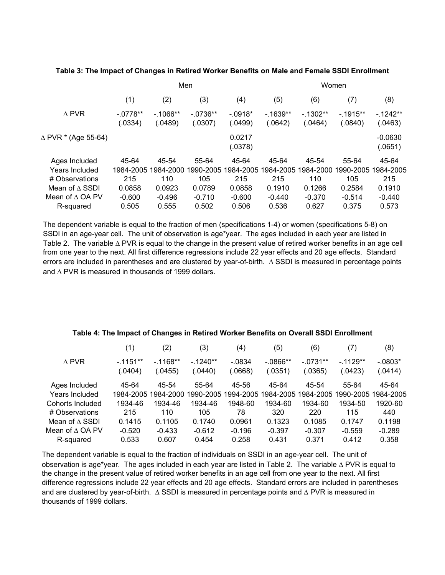### **Table 3: The Impact of Changes in Retired Worker Benefits on Male and Female SSDI Enrollment**

| (1)                  | (2)                  | (3)                  | (4)                  | (5)                  | (6)                  | (7)                  | (8)                  |  |  |  |
|----------------------|----------------------|----------------------|----------------------|----------------------|----------------------|----------------------|----------------------|--|--|--|
| $-0778**$<br>(.0334) | $-1066**$<br>(.0489) | $-0736**$<br>(.0307) | $-.0918*$<br>(.0499) | $-1639**$<br>(.0642) | $-1302**$<br>(.0464) | $-1915**$<br>(.0840) | $-1242**$<br>(.0463) |  |  |  |
|                      |                      |                      | 0.0217<br>(.0378)    |                      |                      |                      | $-0.0630$<br>(.0651) |  |  |  |
| 45-64                | 45-54                | 55-64                | 45-64                | 45-64                | 45-54                | 55-64                | 45-64                |  |  |  |
|                      |                      | 1990-2005            | 1984-2005            | 1984-2005            | 1984-2000            | 1990-2005            | 1984-2005            |  |  |  |
| 215                  | 110                  | 105                  | 215                  | 215                  | 110                  | 105                  | 215                  |  |  |  |
| 0.0858               | 0.0923               | 0.0789               | 0.0858               | 0.1910               | 0.1266               | 0.2584               | 0.1910               |  |  |  |
| $-0.600$             | $-0.496$             | $-0.710$             | $-0.600$             | $-0.440$             | $-0.370$             | $-0.514$             | $-0.440$             |  |  |  |
| 0.505                | 0.555                | 0.502                | 0.506                | 0.536                | 0.627                | 0.375                | 0.573                |  |  |  |
|                      |                      | 1984-2005            | 1984-2000            | Men                  |                      |                      | Women                |  |  |  |

The dependent variable is equal to the fraction of men (specifications 1-4) or women (specifications 5-8) on SSDI in an age-year cell. The unit of observation is age\*year. The ages included in each year are listed in Table 2. The variable ∆ PVR is equal to the change in the present value of retired worker benefits in an age cell from one year to the next. All first difference regressions include 22 year effects and 20 age effects. Standard errors are included in parentheses and are clustered by year-of-birth. ∆ SSDI is measured in percentage points and ∆ PVR is measured in thousands of 1999 dollars.

| $\left( 1\right)$ | (2)       | (3)       | (4)       | $\left( 5\right)$ | (6)        | (7)       | (8)                 |
|-------------------|-----------|-----------|-----------|-------------------|------------|-----------|---------------------|
| $-1151**$         | $-1168**$ | $-1240**$ | $-.0834$  | $-0.0866**$       | $-.0731**$ | $-1129**$ | $-.0803*$           |
| (.0404)           | (.0455)   | 0440      | (.0668)   | (.0351)           | (.0365)    | (.0423)   | (.0414)             |
| 45-64             | 45-54     | 55-64     | 45-56     | 45-64             | 45-54      | 55-64     | 45-64               |
|                   |           |           |           |                   |            |           | 1990-2005 1984-2005 |
| 1934-46           | 1934-46   | 1934-46   | 1948-60   | 1934-60           | 1934-60    | 1934-50   | 1920-60             |
| 215               | 110       | 105       | 78        | 320               | 220        | 115       | 440                 |
| 0.1415            | 0.1105    | 0.1740    | 0.0961    | 0.1323            | 0.1085     | 0.1747    | 0.1198              |
| $-0.520$          | $-0.433$  | $-0.612$  | $-0.196$  | $-0.397$          | $-0.307$   | $-0.559$  | $-0.289$            |
| 0.533             | 0.607     | 0.454     | 0.258     | 0.431             | 0.371      | 0.412     | 0.358               |
|                   |           | 1984-2005 | 1984-2000 | 1990-2005         | 1994-2005  | 1984-2005 | 1984-2005           |

#### **Table 4: The Impact of Changes in Retired Worker Benefits on Overall SSDI Enrollment**

The dependent variable is equal to the fraction of individuals on SSDI in an age-year cell. The unit of observation is age\*year. The ages included in each year are listed in Table 2. The variable ∆ PVR is equal to the change in the present value of retired worker benefits in an age cell from one year to the next. All first difference regressions include 22 year effects and 20 age effects. Standard errors are included in parentheses and are clustered by year-of-birth. ∆ SSDI is measured in percentage points and ∆ PVR is measured in thousands of 1999 dollars.